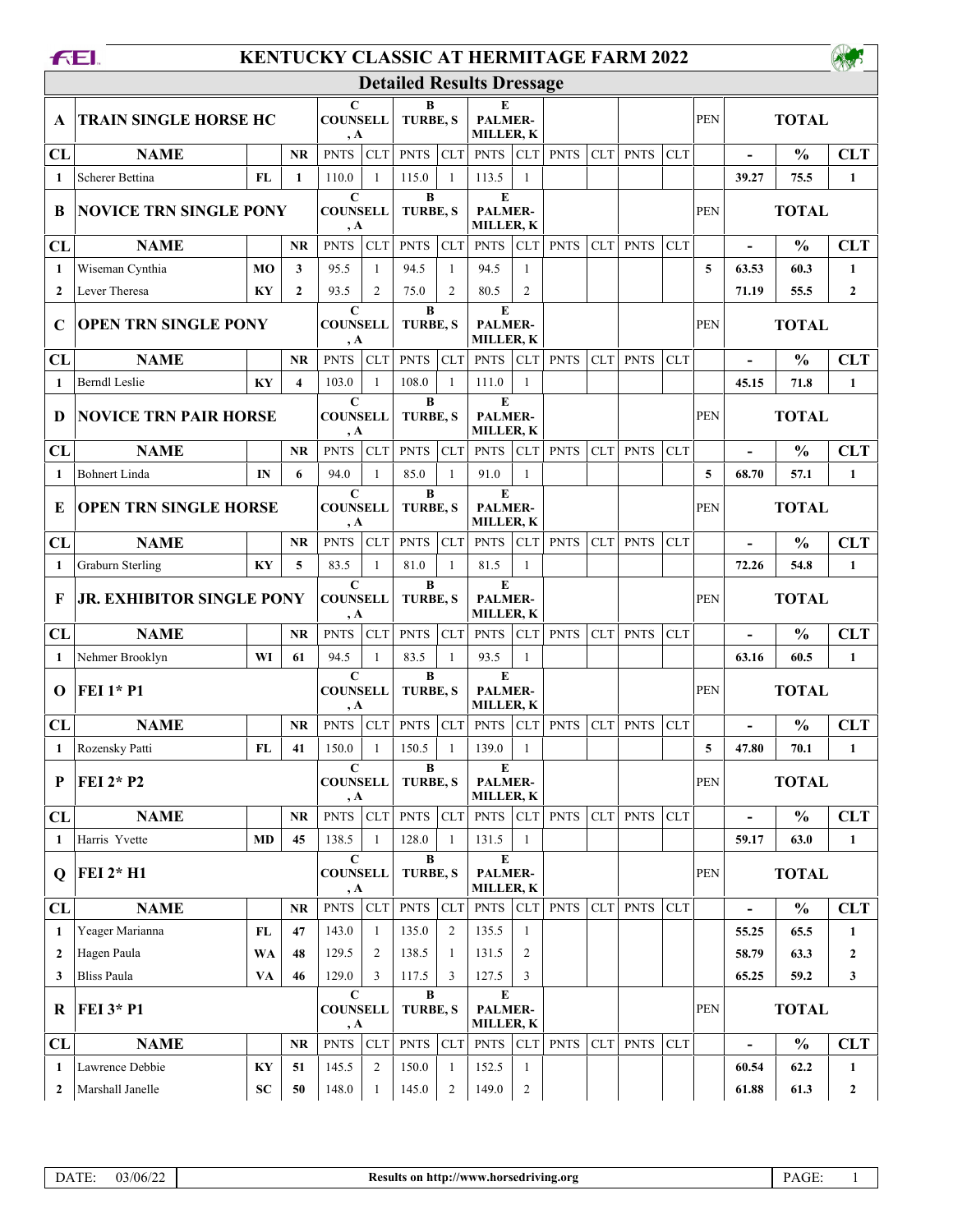| <b>KENTUCKY CLASSIC AT HERMITAGE FARM 2022</b><br><b>FEI</b> |                                  |               |                             |                                       |                      |                      |                                         |                                                 |                                  |             |             |             |            |              |                          |               |                  |
|--------------------------------------------------------------|----------------------------------|---------------|-----------------------------|---------------------------------------|----------------------|----------------------|-----------------------------------------|-------------------------------------------------|----------------------------------|-------------|-------------|-------------|------------|--------------|--------------------------|---------------|------------------|
|                                                              |                                  |               |                             |                                       |                      |                      |                                         | <b>Detailed Results Dressage</b>                |                                  |             |             |             |            |              |                          |               |                  |
| A                                                            | <b>TRAIN SINGLE HORSE HC</b>     |               | C<br><b>COUNSELL</b><br>, A |                                       | B<br><b>TURBE, S</b> |                      | E<br><b>PALMER-</b><br><b>MILLER, K</b> |                                                 |                                  |             |             |             | <b>PEN</b> | <b>TOTAL</b> |                          |               |                  |
| CL                                                           | <b>NAME</b>                      |               | <b>NR</b>                   | <b>PNTS</b>                           | <b>CLT</b>           | <b>PNTS</b>          | CLT                                     | <b>PNTS</b>                                     | <b>CLT</b>                       | <b>PNTS</b> | <b>CLT</b>  | <b>PNTS</b> | <b>CLT</b> |              |                          | $\frac{0}{0}$ | <b>CLT</b>       |
| 1                                                            | Scherer Bettina                  | FL            | $\mathbf{1}$                | 110.0                                 | $\mathbf{1}$         | 115.0                | $\mathbf{1}$                            | 113.5                                           | $\mathbf{1}$                     |             |             |             |            |              | 39.27                    | 75.5          | $\mathbf{1}$     |
| B                                                            | <b>NOVICE TRN SINGLE PONY</b>    |               |                             | $\mathbf C$<br><b>COUNSELL</b><br>, A |                      | B<br><b>TURBE, S</b> |                                         | E<br><b>PALMER-</b><br><b>MILLER, K</b>         |                                  |             |             |             |            | <b>PEN</b>   | <b>TOTAL</b>             |               |                  |
| CL                                                           | <b>NAME</b>                      |               | <b>NR</b>                   | <b>PNTS</b>                           | <b>CLT</b>           | <b>PNTS</b>          | CLT                                     | <b>PNTS</b>                                     | <b>CLT</b>                       | <b>PNTS</b> | <b>CLT</b>  | <b>PNTS</b> | <b>CLT</b> |              |                          | $\frac{0}{0}$ | <b>CLT</b>       |
| 1                                                            | Wiseman Cynthia                  | <b>MO</b>     | 3                           | 95.5                                  | $\mathbf{1}$         | 94.5                 | $\mathbf{1}$                            | 94.5                                            | $\mathbf{1}$                     |             |             |             |            | 5            | 63.53                    | 60.3          | $\mathbf{1}$     |
| $\mathbf{2}$                                                 | Lever Theresa                    | KY            | $\mathbf{2}$                | 93.5                                  | $\overline{c}$       | 75.0                 | $\overline{2}$                          | 80.5                                            | $\overline{2}$                   |             |             |             |            |              | 71.19                    | 55.5          | $\boldsymbol{2}$ |
| C                                                            | <b>OPEN TRN SINGLE PONY</b>      |               |                             | $\mathbf C$<br><b>COUNSELL</b><br>, A |                      | $\bf{B}$<br>TURBE, S |                                         | E<br><b>PALMER-</b><br><b>MILLER, K</b>         |                                  |             |             |             |            | <b>PEN</b>   | <b>TOTAL</b>             |               |                  |
| CL                                                           | <b>NAME</b>                      |               | <b>NR</b>                   | <b>PNTS</b>                           | <b>CLT</b>           | <b>PNTS</b>          | CLT                                     | <b>PNTS</b>                                     | <b>CLT</b>                       | <b>PNTS</b> | <b>CLT</b>  | <b>PNTS</b> | <b>CLT</b> |              | $\overline{\phantom{a}}$ | $\frac{0}{0}$ | <b>CLT</b>       |
| 1                                                            | <b>Berndl</b> Leslie             | KY            | $\overline{\mathbf{4}}$     | 103.0                                 | $\mathbf{1}$         | 108.0                | $\mathbf{1}$                            | 111.0                                           | 1                                |             |             |             |            |              | 45.15                    | 71.8          | $\mathbf{1}$     |
| D                                                            | <b>NOVICE TRN PAIR HORSE</b>     |               |                             | $\mathbf C$<br><b>COUNSELL</b><br>, A |                      | B<br><b>TURBE, S</b> |                                         | E<br><b>PALMER-</b><br><b>MILLER, K</b>         |                                  |             |             |             |            | <b>PEN</b>   | <b>TOTAL</b>             |               |                  |
| CL                                                           | <b>NAME</b>                      |               | <b>NR</b>                   | <b>PNTS</b>                           | <b>CLT</b>           | <b>PNTS</b>          | CLT                                     | <b>PNTS</b>                                     | <b>CLT</b>                       | <b>PNTS</b> | <b>CLT</b>  | <b>PNTS</b> | <b>CLT</b> |              |                          | $\frac{0}{0}$ | <b>CLT</b>       |
| 1                                                            | <b>Bohnert Linda</b>             | IN            | 6                           | 94.0                                  | $\mathbf{1}$         | 85.0                 | $\mathbf{1}$                            | 91.0                                            | $\mathbf{1}$                     |             |             |             |            | 5            | 68.70                    | 57.1          | $\mathbf{1}$     |
| E                                                            | <b>OPEN TRN SINGLE HORSE</b>     |               |                             | $\mathbf C$<br><b>COUNSELL</b><br>, A |                      | B<br><b>TURBE, S</b> |                                         | ${\bf E}$<br><b>PALMER-</b><br><b>MILLER, K</b> |                                  |             |             |             |            | <b>PEN</b>   | <b>TOTAL</b>             |               |                  |
| CL                                                           | <b>NAME</b>                      |               | <b>NR</b>                   | <b>PNTS</b>                           | <b>CLT</b>           | <b>PNTS</b>          | CLT                                     | <b>PNTS</b>                                     | <b>CLT</b>                       | <b>PNTS</b> | <b>CLT</b>  | <b>PNTS</b> | <b>CLT</b> |              |                          | $\frac{0}{0}$ | <b>CLT</b>       |
| $\mathbf{1}$                                                 | <b>Graburn Sterling</b>          | KY            | 5                           | 83.5                                  | $\mathbf{1}$         | 81.0                 | $\mathbf{1}$                            | 81.5                                            | $\mathbf{1}$                     |             |             |             |            |              | 72.26                    | 54.8          | $\mathbf{1}$     |
| F                                                            | <b>JR. EXHIBITOR SINGLE PONY</b> |               |                             | $\mathbf C$<br><b>COUNSELL</b><br>, A |                      | B<br>TURBE, S        |                                         | ${\bf E}$<br>PALMER-<br><b>MILLER, K</b>        |                                  |             |             |             |            | PEN          | <b>TOTAL</b>             |               |                  |
| CL                                                           | <b>NAME</b>                      |               | NR.                         | <b>PNTS</b>                           | <b>CLT</b>           | <b>PNTS</b>          | <b>CLT</b>                              | <b>PNTS</b>                                     | <b>CLT</b>                       | <b>PNTS</b> | <b>CLT</b>  | <b>PNTS</b> | <b>CLT</b> |              | $\blacksquare$           | $\frac{0}{0}$ | <b>CLT</b>       |
| 1                                                            | Nehmer Brooklyn                  | WI            | 61                          | 94.5                                  | $\mathbf{1}$         | 83.5                 | $\mathbf{1}$                            | 93.5                                            | 1                                |             |             |             |            |              | 63.16                    | 60.5          | 1                |
| $\Omega$                                                     | <b>FEI 1* P1</b>                 |               |                             | $\mathbf C$<br><b>COUNSELL</b><br>, A |                      | B<br><b>TURBE, S</b> |                                         | E<br><b>PALMER-</b><br><b>MILLER, K</b>         |                                  |             |             |             |            | <b>PEN</b>   | <b>TOTAL</b>             |               |                  |
| CL                                                           | <b>NAME</b>                      |               | <b>NR</b>                   | <b>PNTS</b>                           | <b>CLT</b>           | <b>PNTS</b>          | <b>CLT</b>                              | <b>PNTS</b>                                     | <b>CLT</b>                       | <b>PNTS</b> | <b>CLT</b>  | <b>PNTS</b> | <b>CLT</b> |              |                          | $\frac{0}{0}$ | <b>CLT</b>       |
|                                                              | Rozensky Patti                   | $\mathbf{FL}$ | 41                          | 150.0                                 | $\mathbf{1}$         | 150.5                | $\,$ 1 $\,$                             | 139.0                                           | $\mathbf{1}$                     |             |             |             |            | 5            | 47.80                    | 70.1          | 1                |
| P                                                            | <b>FEI 2* P2</b>                 |               |                             | $\mathbf C$<br><b>COUNSELL</b><br>, A |                      | $\bf{B}$             | TURBE, S                                |                                                 | E<br>PALMER-<br><b>MILLER, K</b> |             |             |             |            |              | <b>TOTAL</b>             |               |                  |
| CL                                                           | <b>NAME</b>                      |               | NR.                         | $PNTS$ CLT                            |                      | <b>PNTS</b>          | CLT                                     | <b>PNTS</b>                                     | ${\rm CLT}$                      | <b>PNTS</b> | CLT         | <b>PNTS</b> | <b>CLT</b> |              | $\overline{\phantom{a}}$ | $\frac{0}{0}$ | <b>CLT</b>       |
| 1                                                            | Harris Yvette                    | <b>MD</b>     | 45                          | 138.5                                 | $\mathbf{1}$         | 128.0                | $\mathbf{1}$                            | 131.5                                           | 1                                |             |             |             |            |              | 59.17                    | 63.0          | $\mathbf{1}$     |
| Q                                                            | FEI 2* H1                        |               |                             | $\mathbf C$<br><b>COUNSELL</b><br>, A |                      | B<br>TURBE, S        |                                         | ${\bf E}$<br>PALMER-<br><b>MILLER, K</b>        |                                  |             |             |             |            | PEN          | <b>TOTAL</b>             |               |                  |
| CL                                                           | <b>NAME</b>                      |               | <b>NR</b>                   | <b>PNTS</b>                           | <b>CLT</b>           | <b>PNTS</b>          | CLT                                     | <b>PNTS</b>                                     | <b>CLT</b>                       | <b>PNTS</b> | <b>CLT</b>  | <b>PNTS</b> | <b>CLT</b> |              |                          | $\frac{0}{0}$ | <b>CLT</b>       |
| 1                                                            | Yeager Marianna                  | FL            | 47                          | 143.0                                 | 1                    | 135.0                | 2                                       | 135.5                                           | $\mathbf{1}$                     |             |             |             |            |              | 55.25                    | 65.5          | $\mathbf{1}$     |
| $\mathbf{2}$                                                 | Hagen Paula                      | WA            | 48                          | 129.5                                 | 2                    | 138.5                | -1                                      | 131.5                                           | 2                                |             |             |             |            |              | 58.79                    | 63.3          | $\mathbf{2}$     |
| 3                                                            | <b>Bliss Paula</b>               | VA            | 46                          | 129.0<br>$\mathbf C$                  | 3                    | 117.5                | 3                                       | 127.5<br>E                                      | 3                                |             |             |             |            |              | 65.25                    | 59.2          | 3                |
| R                                                            | <b>FEI 3* P1</b>                 |               |                             | <b>COUNSELL</b><br>, A                |                      | $\bf{B}$             | TURBE, S                                |                                                 | PALMER-<br>MILLER, K             |             |             |             |            |              | <b>TOTAL</b>             |               |                  |
| CL                                                           | <b>NAME</b>                      |               | $\bf NR$                    | <b>PNTS</b>                           | CLT                  | <b>PNTS</b>          | ${\rm CLT}$                             | <b>PNTS</b>                                     | <b>CLT</b>                       | <b>PNTS</b> | ${\rm CLT}$ | <b>PNTS</b> | <b>CLT</b> |              | $\overline{a}$           | $\frac{0}{0}$ | <b>CLT</b>       |
| 1                                                            | Lawrence Debbie                  | KY            | 51                          | 145.5                                 | 2                    | 150.0                | 1                                       | 152.5                                           | -1                               |             |             |             |            |              | 60.54                    | 62.2          | $\mathbf{1}$     |
| $\overline{2}$                                               | Marshall Janelle                 | <b>SC</b>     | 50                          | 148.0                                 | $\mathbf{1}$         | 145.0                | 2                                       | 149.0                                           | $\overline{2}$                   |             |             |             |            |              | 61.88                    | 61.3          | $\mathbf{2}$     |